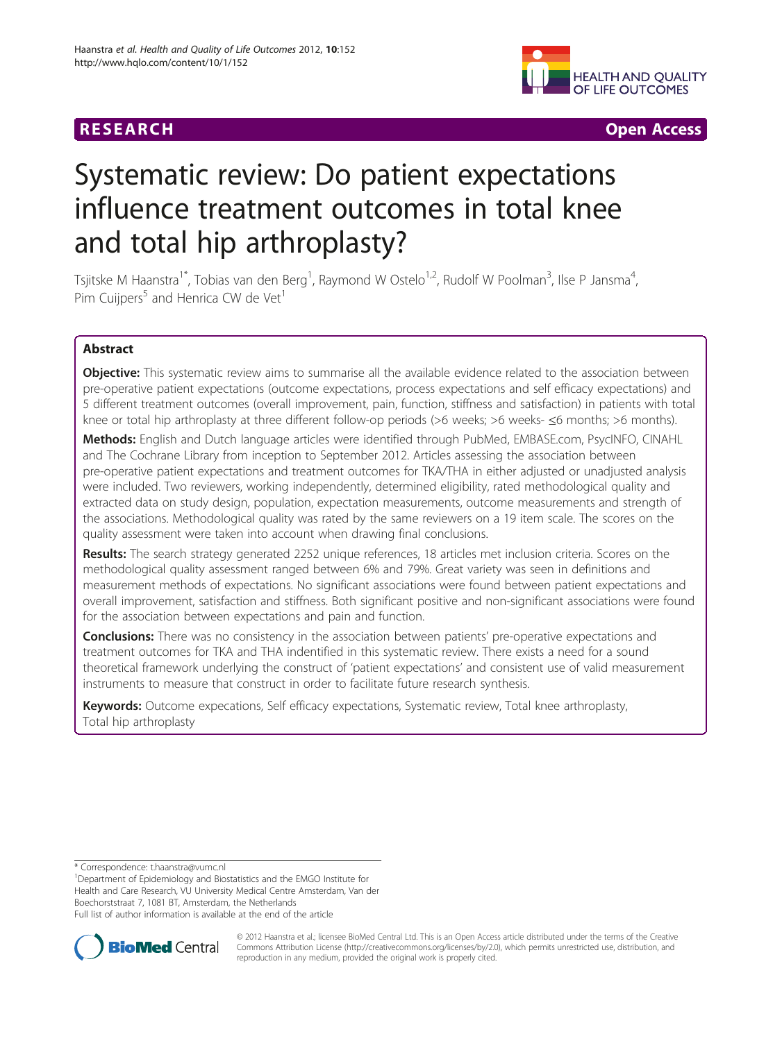

**RESEARCH CHINESE ARCH CHINESE ARCH CHINESE ARCH <b>CHINESE ARCH CHINESE ARCH CHINESE ARCH <b>CHINESE** ARCH **CHINESE ARCH** CHINESE ARCH **CHINESE ARCH 2014** 

# Systematic review: Do patient expectations influence treatment outcomes in total knee and total hip arthroplasty?

Tsjitske M Haanstra<sup>1\*</sup>, Tobias van den Berg<sup>1</sup>, Raymond W Ostelo<sup>1,2</sup>, Rudolf W Poolman<sup>3</sup>, Ilse P Jansma<sup>4</sup> , Pim Cuijpers<sup>5</sup> and Henrica CW de Vet<sup>1</sup>

## Abstract

Objective: This systematic review aims to summarise all the available evidence related to the association between pre-operative patient expectations (outcome expectations, process expectations and self efficacy expectations) and 5 different treatment outcomes (overall improvement, pain, function, stiffness and satisfaction) in patients with total knee or total hip arthroplasty at three different follow-op periods (>6 weeks; >6 weeks- ≤6 months; >6 months).

Methods: English and Dutch language articles were identified through PubMed, EMBASE.com, PsycINFO, CINAHL and The Cochrane Library from inception to September 2012. Articles assessing the association between pre-operative patient expectations and treatment outcomes for TKA/THA in either adjusted or unadjusted analysis were included. Two reviewers, working independently, determined eligibility, rated methodological quality and extracted data on study design, population, expectation measurements, outcome measurements and strength of the associations. Methodological quality was rated by the same reviewers on a 19 item scale. The scores on the quality assessment were taken into account when drawing final conclusions.

Results: The search strategy generated 2252 unique references, 18 articles met inclusion criteria. Scores on the methodological quality assessment ranged between 6% and 79%. Great variety was seen in definitions and measurement methods of expectations. No significant associations were found between patient expectations and overall improvement, satisfaction and stiffness. Both significant positive and non-significant associations were found for the association between expectations and pain and function.

**Conclusions:** There was no consistency in the association between patients' pre-operative expectations and treatment outcomes for TKA and THA indentified in this systematic review. There exists a need for a sound theoretical framework underlying the construct of 'patient expectations' and consistent use of valid measurement instruments to measure that construct in order to facilitate future research synthesis.

Keywords: Outcome expecations, Self efficacy expectations, Systematic review, Total knee arthroplasty, Total hip arthroplasty

\* Correspondence: [t.haanstra@vumc.nl](mailto:t.haanstra@vumc.nl) <sup>1</sup>

Department of Epidemiology and Biostatistics and the EMGO Institute for Health and Care Research, VU University Medical Centre Amsterdam, Van der Boechorststraat 7, 1081 BT, Amsterdam, the Netherlands Full list of author information is available at the end of the article



© 2012 Haanstra et al.; licensee BioMed Central Ltd. This is an Open Access article distributed under the terms of the Creative Commons Attribution License [\(http://creativecommons.org/licenses/by/2.0\)](http://creativecommons.org/licenses/by/2.0), which permits unrestricted use, distribution, and reproduction in any medium, provided the original work is properly cited.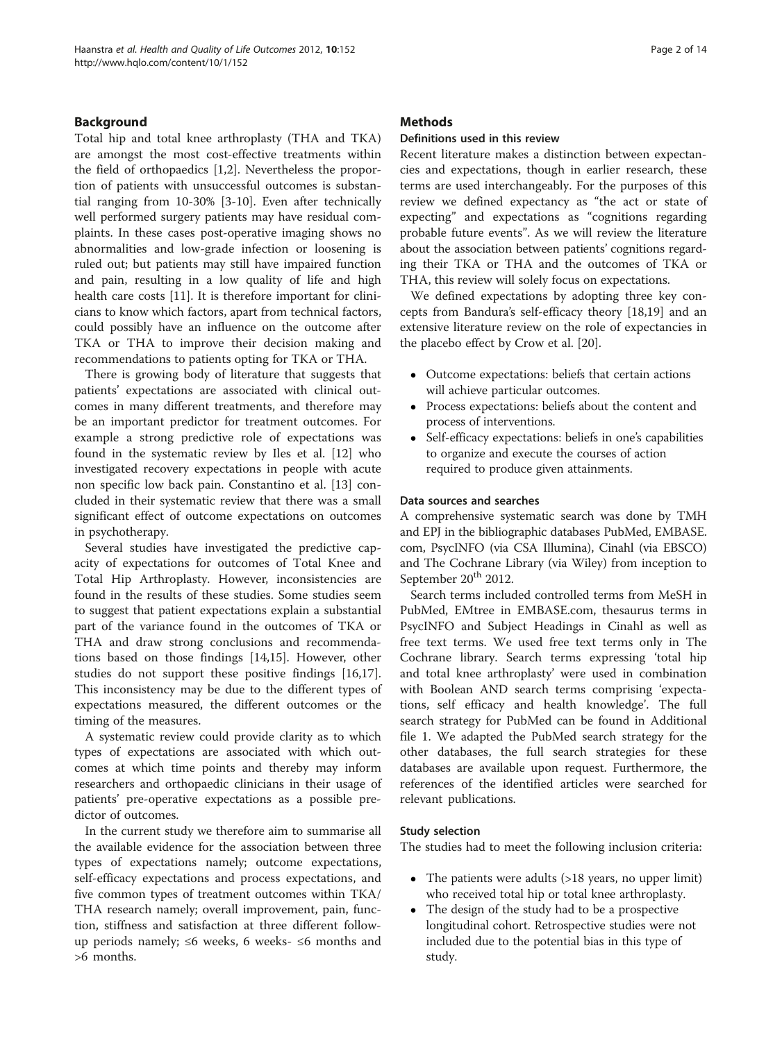## Background

Total hip and total knee arthroplasty (THA and TKA) are amongst the most cost-effective treatments within the field of orthopaedics [[1,2\]](#page-12-0). Nevertheless the proportion of patients with unsuccessful outcomes is substantial ranging from 10-30% [[3](#page-12-0)[-10\]](#page-13-0). Even after technically well performed surgery patients may have residual complaints. In these cases post-operative imaging shows no abnormalities and low-grade infection or loosening is ruled out; but patients may still have impaired function and pain, resulting in a low quality of life and high health care costs [\[11](#page-13-0)]. It is therefore important for clinicians to know which factors, apart from technical factors, could possibly have an influence on the outcome after TKA or THA to improve their decision making and recommendations to patients opting for TKA or THA.

There is growing body of literature that suggests that patients' expectations are associated with clinical outcomes in many different treatments, and therefore may be an important predictor for treatment outcomes. For example a strong predictive role of expectations was found in the systematic review by Iles et al. [[12](#page-13-0)] who investigated recovery expectations in people with acute non specific low back pain. Constantino et al. [\[13](#page-13-0)] concluded in their systematic review that there was a small significant effect of outcome expectations on outcomes in psychotherapy.

Several studies have investigated the predictive capacity of expectations for outcomes of Total Knee and Total Hip Arthroplasty. However, inconsistencies are found in the results of these studies. Some studies seem to suggest that patient expectations explain a substantial part of the variance found in the outcomes of TKA or THA and draw strong conclusions and recommendations based on those findings [\[14,15](#page-13-0)]. However, other studies do not support these positive findings [\[16,17](#page-13-0)]. This inconsistency may be due to the different types of expectations measured, the different outcomes or the timing of the measures.

A systematic review could provide clarity as to which types of expectations are associated with which outcomes at which time points and thereby may inform researchers and orthopaedic clinicians in their usage of patients' pre-operative expectations as a possible predictor of outcomes.

In the current study we therefore aim to summarise all the available evidence for the association between three types of expectations namely; outcome expectations, self-efficacy expectations and process expectations, and five common types of treatment outcomes within TKA/ THA research namely; overall improvement, pain, function, stiffness and satisfaction at three different followup periods namely; ≤6 weeks, 6 weeks- ≤6 months and >6 months.

#### **Methods**

#### Definitions used in this review

Recent literature makes a distinction between expectancies and expectations, though in earlier research, these terms are used interchangeably. For the purposes of this review we defined expectancy as "the act or state of expecting" and expectations as "cognitions regarding probable future events". As we will review the literature about the association between patients' cognitions regarding their TKA or THA and the outcomes of TKA or THA, this review will solely focus on expectations.

We defined expectations by adopting three key concepts from Bandura's self-efficacy theory [[18,19\]](#page-13-0) and an extensive literature review on the role of expectancies in the placebo effect by Crow et al. [\[20\]](#page-13-0).

- Outcome expectations: beliefs that certain actions will achieve particular outcomes.
- Process expectations: beliefs about the content and process of interventions.
- Self-efficacy expectations: beliefs in one's capabilities to organize and execute the courses of action required to produce given attainments.

#### Data sources and searches

A comprehensive systematic search was done by TMH and EPJ in the bibliographic databases PubMed, EMBASE. com, PsycINFO (via CSA Illumina), Cinahl (via EBSCO) and The Cochrane Library (via Wiley) from inception to September 20<sup>th</sup> 2012.

Search terms included controlled terms from MeSH in PubMed, EMtree in EMBASE.com, thesaurus terms in PsycINFO and Subject Headings in Cinahl as well as free text terms. We used free text terms only in The Cochrane library. Search terms expressing 'total hip and total knee arthroplasty' were used in combination with Boolean AND search terms comprising 'expectations, self efficacy and health knowledge'. The full search strategy for PubMed can be found in Additional file [1](#page-12-0). We adapted the PubMed search strategy for the other databases, the full search strategies for these databases are available upon request. Furthermore, the references of the identified articles were searched for relevant publications.

#### Study selection

The studies had to meet the following inclusion criteria:

- The patients were adults (>18 years, no upper limit) who received total hip or total knee arthroplasty.
- The design of the study had to be a prospective longitudinal cohort. Retrospective studies were not included due to the potential bias in this type of study.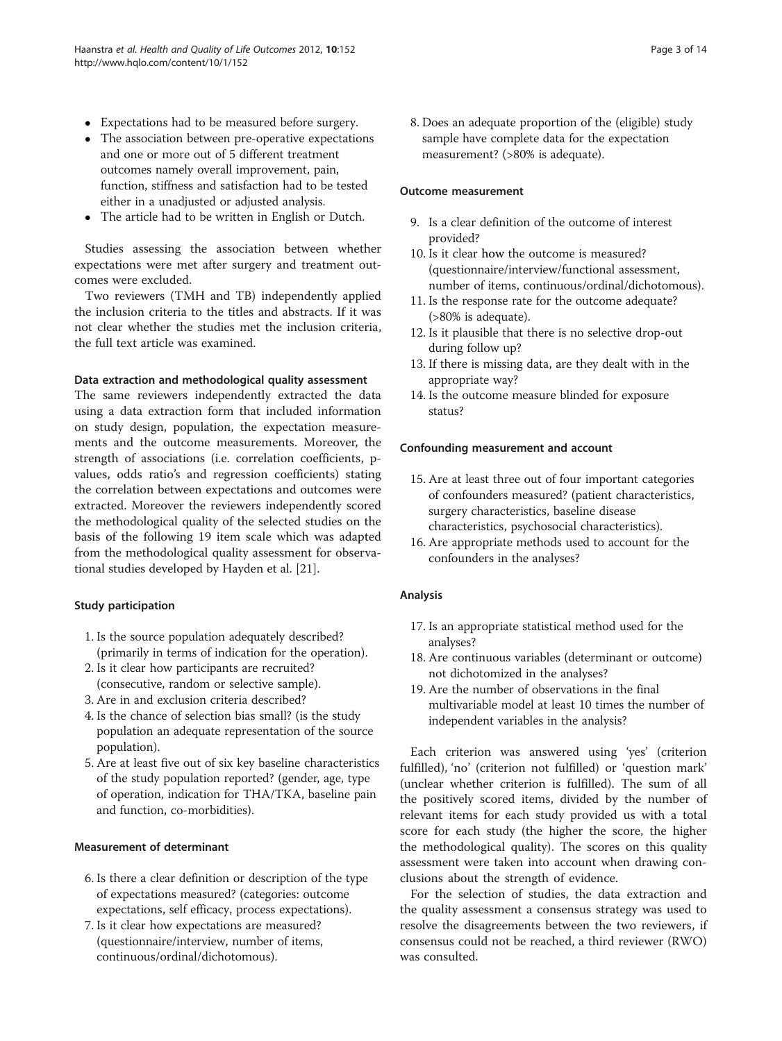- Expectations had to be measured before surgery.
- The association between pre-operative expectations and one or more out of 5 different treatment outcomes namely overall improvement, pain, function, stiffness and satisfaction had to be tested either in a unadjusted or adjusted analysis.
- The article had to be written in English or Dutch.

Studies assessing the association between whether expectations were met after surgery and treatment outcomes were excluded.

Two reviewers (TMH and TB) independently applied the inclusion criteria to the titles and abstracts. If it was not clear whether the studies met the inclusion criteria, the full text article was examined.

## Data extraction and methodological quality assessment

The same reviewers independently extracted the data using a data extraction form that included information on study design, population, the expectation measurements and the outcome measurements. Moreover, the strength of associations (i.e. correlation coefficients, pvalues, odds ratio's and regression coefficients) stating the correlation between expectations and outcomes were extracted. Moreover the reviewers independently scored the methodological quality of the selected studies on the basis of the following 19 item scale which was adapted from the methodological quality assessment for observational studies developed by Hayden et al. [[21](#page-13-0)].

## Study participation

- 1. Is the source population adequately described? (primarily in terms of indication for the operation).
- 2. Is it clear how participants are recruited? (consecutive, random or selective sample).
- 3. Are in and exclusion criteria described?
- 4. Is the chance of selection bias small? (is the study population an adequate representation of the source population).
- 5. Are at least five out of six key baseline characteristics of the study population reported? (gender, age, type of operation, indication for THA/TKA, baseline pain and function, co-morbidities).

#### Measurement of determinant

- 6. Is there a clear definition or description of the type of expectations measured? (categories: outcome expectations, self efficacy, process expectations).
- 7. Is it clear how expectations are measured? (questionnaire/interview, number of items, continuous/ordinal/dichotomous).

8. Does an adequate proportion of the (eligible) study sample have complete data for the expectation measurement? (>80% is adequate).

#### Outcome measurement

- 9. Is a clear definition of the outcome of interest provided?
- 10. Is it clear how the outcome is measured? (questionnaire/interview/functional assessment, number of items, continuous/ordinal/dichotomous).
- 11. Is the response rate for the outcome adequate? (>80% is adequate).
- 12. Is it plausible that there is no selective drop-out during follow up?
- 13. If there is missing data, are they dealt with in the appropriate way?
- 14. Is the outcome measure blinded for exposure status?

## Confounding measurement and account

- 15. Are at least three out of four important categories of confounders measured? (patient characteristics, surgery characteristics, baseline disease characteristics, psychosocial characteristics).
- 16. Are appropriate methods used to account for the confounders in the analyses?

## Analysis

- 17. Is an appropriate statistical method used for the analyses?
- 18. Are continuous variables (determinant or outcome) not dichotomized in the analyses?
- 19. Are the number of observations in the final multivariable model at least 10 times the number of independent variables in the analysis?

Each criterion was answered using 'yes' (criterion fulfilled), 'no' (criterion not fulfilled) or 'question mark' (unclear whether criterion is fulfilled). The sum of all the positively scored items, divided by the number of relevant items for each study provided us with a total score for each study (the higher the score, the higher the methodological quality). The scores on this quality assessment were taken into account when drawing conclusions about the strength of evidence.

For the selection of studies, the data extraction and the quality assessment a consensus strategy was used to resolve the disagreements between the two reviewers, if consensus could not be reached, a third reviewer (RWO) was consulted.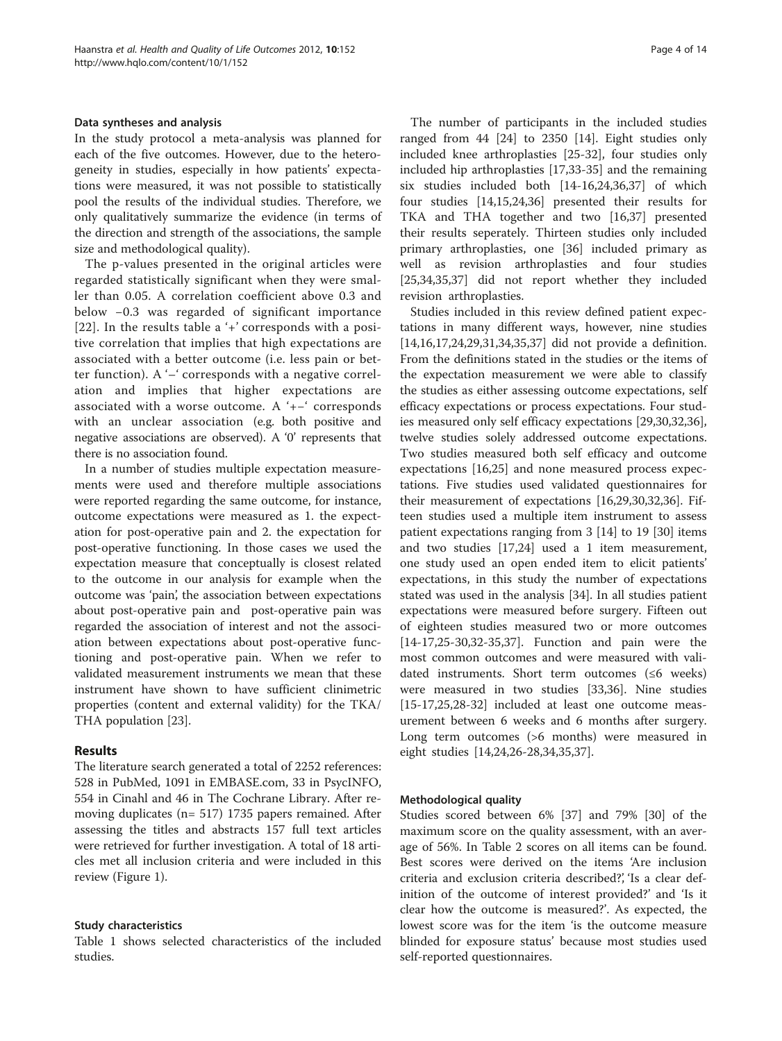#### Data syntheses and analysis

In the study protocol a meta-analysis was planned for each of the five outcomes. However, due to the heterogeneity in studies, especially in how patients' expectations were measured, it was not possible to statistically pool the results of the individual studies. Therefore, we only qualitatively summarize the evidence (in terms of the direction and strength of the associations, the sample size and methodological quality).

The p-values presented in the original articles were regarded statistically significant when they were smaller than 0.05. A correlation coefficient above 0.3 and below −0.3 was regarded of significant importance [[22](#page-13-0)]. In the results table a '+' corresponds with a positive correlation that implies that high expectations are associated with a better outcome (i.e. less pain or better function). A '–' corresponds with a negative correlation and implies that higher expectations are associated with a worse outcome. A '+−' corresponds with an unclear association (e.g. both positive and negative associations are observed). A '0' represents that there is no association found.

In a number of studies multiple expectation measurements were used and therefore multiple associations were reported regarding the same outcome, for instance, outcome expectations were measured as 1. the expectation for post-operative pain and 2. the expectation for post-operative functioning. In those cases we used the expectation measure that conceptually is closest related to the outcome in our analysis for example when the outcome was 'pain', the association between expectations about post-operative pain and post-operative pain was regarded the association of interest and not the association between expectations about post-operative functioning and post-operative pain. When we refer to validated measurement instruments we mean that these instrument have shown to have sufficient clinimetric properties (content and external validity) for the TKA/ THA population [[23](#page-13-0)].

#### Results

The literature search generated a total of 2252 references: 528 in PubMed, 1091 in EMBASE.com, 33 in PsycINFO, 554 in Cinahl and 46 in The Cochrane Library. After removing duplicates (n= 517) 1735 papers remained. After assessing the titles and abstracts 157 full text articles were retrieved for further investigation. A total of 18 articles met all inclusion criteria and were included in this review (Figure [1](#page-4-0)).

#### Study characteristics

Table [1](#page-5-0) shows selected characteristics of the included studies.

The number of participants in the included studies ranged from 44 [\[24\]](#page-13-0) to 2350 [[14\]](#page-13-0). Eight studies only included knee arthroplasties [\[25](#page-13-0)-[32\]](#page-13-0), four studies only included hip arthroplasties [\[17,33-35](#page-13-0)] and the remaining six studies included both [[14-16,24,36,37\]](#page-13-0) of which four studies [\[14,15,24,36\]](#page-13-0) presented their results for TKA and THA together and two [\[16,37](#page-13-0)] presented their results seperately. Thirteen studies only included primary arthroplasties, one [\[36](#page-13-0)] included primary as well as revision arthroplasties and four studies [[25,34,35,37\]](#page-13-0) did not report whether they included revision arthroplasties.

Studies included in this review defined patient expectations in many different ways, however, nine studies [[14,16,17,24,29,31,34](#page-13-0),[35](#page-13-0),[37](#page-13-0)] did not provide a definition. From the definitions stated in the studies or the items of the expectation measurement we were able to classify the studies as either assessing outcome expectations, self efficacy expectations or process expectations. Four studies measured only self efficacy expectations [[29](#page-13-0),[30,32,36](#page-13-0)], twelve studies solely addressed outcome expectations. Two studies measured both self efficacy and outcome expectations [[16](#page-13-0),[25](#page-13-0)] and none measured process expectations. Five studies used validated questionnaires for their measurement of expectations [\[16,29,30,32,36](#page-13-0)]. Fifteen studies used a multiple item instrument to assess patient expectations ranging from 3 [[14](#page-13-0)] to 19 [[30](#page-13-0)] items and two studies [[17](#page-13-0),[24](#page-13-0)] used a 1 item measurement, one study used an open ended item to elicit patients' expectations, in this study the number of expectations stated was used in the analysis [\[34](#page-13-0)]. In all studies patient expectations were measured before surgery. Fifteen out of eighteen studies measured two or more outcomes [[14-17,25](#page-13-0)-[30](#page-13-0),[32](#page-13-0)-[35,37\]](#page-13-0). Function and pain were the most common outcomes and were measured with validated instruments. Short term outcomes (≤6 weeks) were measured in two studies [\[33,36](#page-13-0)]. Nine studies [[15-17,25,28-32](#page-13-0)] included at least one outcome measurement between 6 weeks and 6 months after surgery. Long term outcomes (>6 months) were measured in eight studies [\[14,24,26-28](#page-13-0),[34,35,37](#page-13-0)].

#### Methodological quality

Studies scored between 6% [[37](#page-13-0)] and 79% [\[30\]](#page-13-0) of the maximum score on the quality assessment, with an average of 56%. In Table [2](#page-8-0) scores on all items can be found. Best scores were derived on the items 'Are inclusion criteria and exclusion criteria described?', 'Is a clear definition of the outcome of interest provided?' and 'Is it clear how the outcome is measured?'. As expected, the lowest score was for the item 'is the outcome measure blinded for exposure status' because most studies used self-reported questionnaires.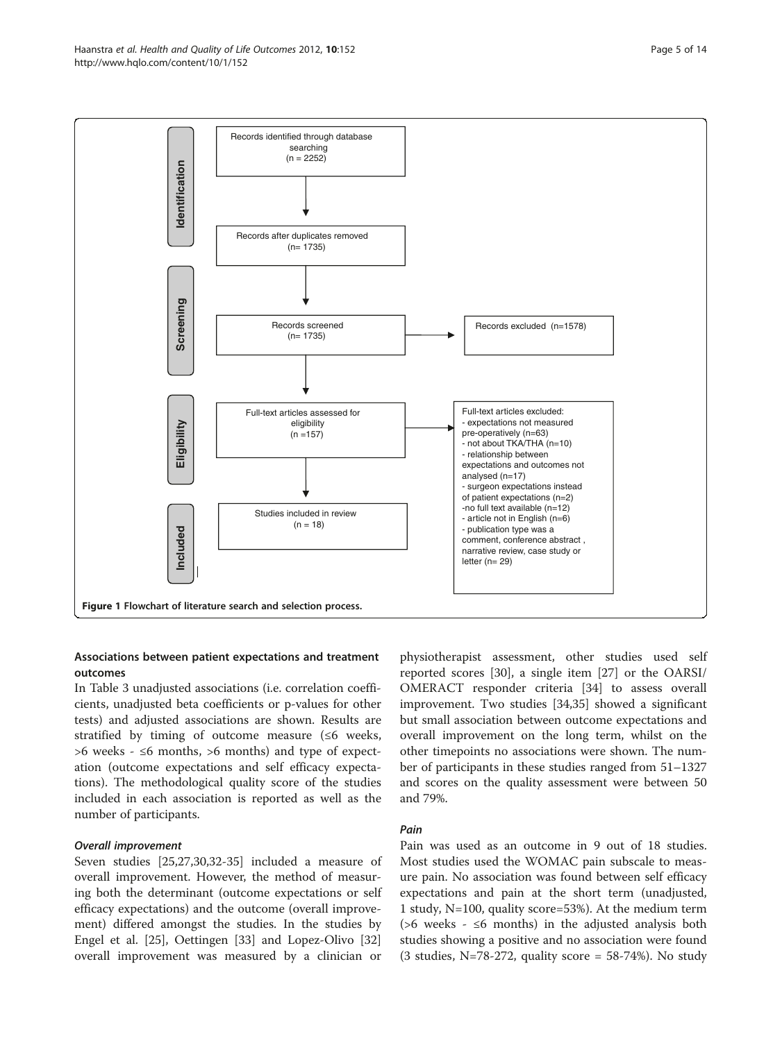<span id="page-4-0"></span>

## Associations between patient expectations and treatment outcomes

In Table [3](#page-9-0) unadjusted associations (i.e. correlation coefficients, unadjusted beta coefficients or p-values for other tests) and adjusted associations are shown. Results are stratified by timing of outcome measure  $(\leq 6$  weeks,  $>6$  weeks -  $\leq 6$  months,  $>6$  months) and type of expectation (outcome expectations and self efficacy expectations). The methodological quality score of the studies included in each association is reported as well as the number of participants.

#### Overall improvement

Seven studies [\[25,27,30,32](#page-13-0)-[35\]](#page-13-0) included a measure of overall improvement. However, the method of measuring both the determinant (outcome expectations or self efficacy expectations) and the outcome (overall improvement) differed amongst the studies. In the studies by Engel et al. [\[25](#page-13-0)], Oettingen [[33\]](#page-13-0) and Lopez-Olivo [[32](#page-13-0)] overall improvement was measured by a clinician or

physiotherapist assessment, other studies used self reported scores [[30](#page-13-0)], a single item [\[27](#page-13-0)] or the OARSI/ OMERACT responder criteria [\[34](#page-13-0)] to assess overall improvement. Two studies [\[34,35\]](#page-13-0) showed a significant but small association between outcome expectations and overall improvement on the long term, whilst on the other timepoints no associations were shown. The number of participants in these studies ranged from 51–1327 and scores on the quality assessment were between 50 and 79%.

## Pain

Pain was used as an outcome in 9 out of 18 studies. Most studies used the WOMAC pain subscale to measure pain. No association was found between self efficacy expectations and pain at the short term (unadjusted, 1 study, N=100, quality score=53%). At the medium term  $(>6$  weeks -  $\leq 6$  months) in the adjusted analysis both studies showing a positive and no association were found  $(3 \text{ studies}, \text{N} = 78-272, \text{ quality score} = 58-74\%).$  No study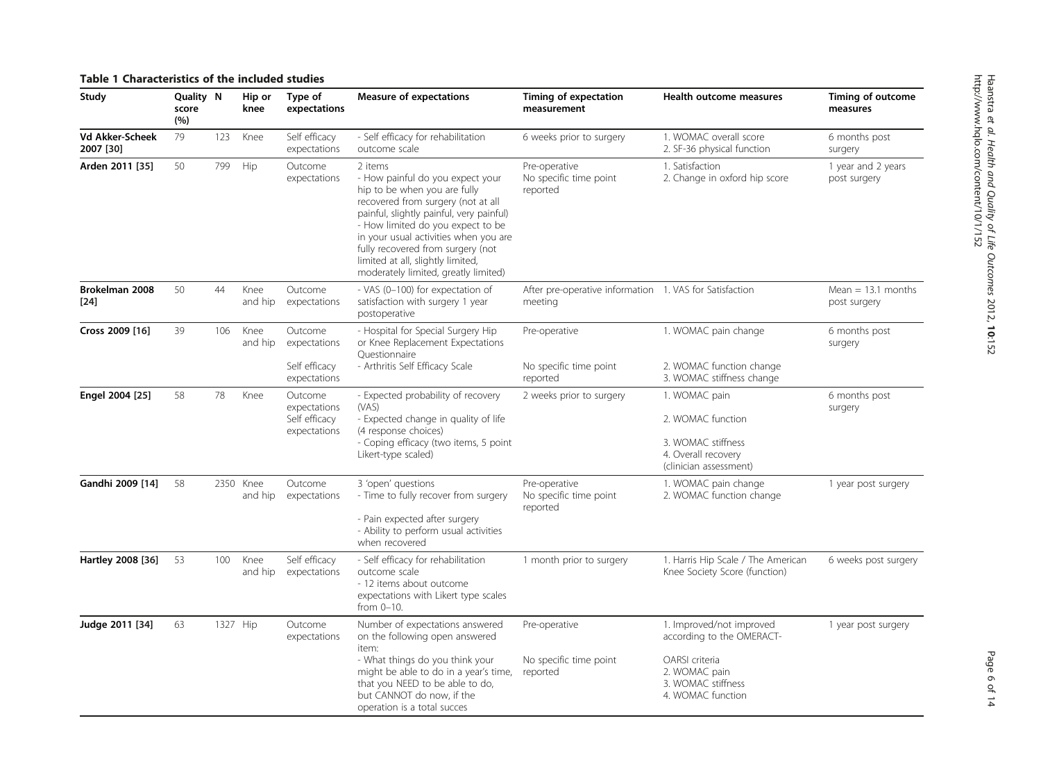| Study                               | Quality N<br>score<br>(%) |          | Hip or<br>knee       | Type of<br>expectations                                  | <b>Measure of expectations</b>                                                                                                                                                                                                                                                                                                                                | Timing of expectation<br>measurement                               | Health outcome measures                                                         | Timing of outcome<br>measures        |  |  |
|-------------------------------------|---------------------------|----------|----------------------|----------------------------------------------------------|---------------------------------------------------------------------------------------------------------------------------------------------------------------------------------------------------------------------------------------------------------------------------------------------------------------------------------------------------------------|--------------------------------------------------------------------|---------------------------------------------------------------------------------|--------------------------------------|--|--|
| <b>Vd Akker-Scheek</b><br>2007 [30] | 79                        | 123      | Knee                 | Self efficacy<br>expectations                            | - Self efficacy for rehabilitation<br>outcome scale                                                                                                                                                                                                                                                                                                           | 6 weeks prior to surgery                                           | 1. WOMAC overall score<br>2. SF-36 physical function                            | 6 months post<br>surgery             |  |  |
| Arden 2011 [35]                     | 50                        | 799      | Hip                  | Outcome<br>expectations                                  | 2 items<br>- How painful do you expect your<br>hip to be when you are fully<br>recovered from surgery (not at all<br>painful, slightly painful, very painful)<br>- How limited do you expect to be<br>in your usual activities when you are<br>fully recovered from surgery (not<br>limited at all, slightly limited,<br>moderately limited, greatly limited) | Pre-operative<br>No specific time point<br>reported                | 1. Satisfaction<br>2. Change in oxford hip score                                | 1 year and 2 years<br>post surgery   |  |  |
| <b>Brokelman 2008</b><br>$[24]$     | 50                        | 44       | Knee<br>and hip      | Outcome<br>expectations                                  | - VAS (0-100) for expectation of<br>satisfaction with surgery 1 year<br>postoperative                                                                                                                                                                                                                                                                         | After pre-operative information 1. VAS for Satisfaction<br>meeting |                                                                                 | $Mean = 13.1 months$<br>post surgery |  |  |
| Cross 2009 [16]                     | 39                        | 106      | Knee<br>and hip      | Outcome<br>expectations                                  | - Hospital for Special Surgery Hip<br>or Knee Replacement Expectations<br>Questionnaire                                                                                                                                                                                                                                                                       | Pre-operative                                                      | 1. WOMAC pain change                                                            | 6 months post<br>surgery             |  |  |
|                                     |                           |          |                      | Self efficacy<br>expectations                            | - Arthritis Self Efficacy Scale                                                                                                                                                                                                                                                                                                                               | No specific time point<br>reported                                 | 2. WOMAC function change<br>3. WOMAC stiffness change                           |                                      |  |  |
| Engel 2004 [25]                     | 58                        | 78       | Knee                 | Outcome<br>expectations<br>Self efficacy<br>expectations | - Expected probability of recovery<br>(VAS)<br>- Expected change in quality of life<br>(4 response choices)<br>- Coping efficacy (two items, 5 point<br>Likert-type scaled)                                                                                                                                                                                   | 2 weeks prior to surgery                                           | 1. WOMAC pain<br>2. WOMAC function<br>3. WOMAC stiffness<br>4. Overall recovery | 6 months post<br>surgery             |  |  |
|                                     |                           |          |                      |                                                          |                                                                                                                                                                                                                                                                                                                                                               |                                                                    | (clinician assessment)                                                          |                                      |  |  |
| Gandhi 2009 [14]                    | 58                        |          | 2350 Knee<br>and hip | Outcome<br>expectations                                  | 3 'open' questions<br>- Time to fully recover from surgery<br>- Pain expected after surgery<br>- Ability to perform usual activities<br>when recovered                                                                                                                                                                                                        | Pre-operative<br>No specific time point<br>reported                | 1. WOMAC pain change<br>2. WOMAC function change                                | 1 year post surgery                  |  |  |
| Hartley 2008 [36]                   | 53                        | 100      | Knee<br>and hip      | Self efficacy<br>expectations                            | - Self efficacy for rehabilitation<br>outcome scale<br>- 12 items about outcome<br>expectations with Likert type scales<br>from $0-10$ .                                                                                                                                                                                                                      | 1 month prior to surgery                                           | 1. Harris Hip Scale / The American<br>Knee Society Score (function)             | 6 weeks post surgery                 |  |  |
| Judge 2011 [34]                     | 63                        | 1327 Hip |                      | Outcome<br>expectations                                  | Number of expectations answered<br>on the following open answered<br>item:                                                                                                                                                                                                                                                                                    | Pre-operative                                                      | 1. Improved/not improved<br>according to the OMERACT-                           | 1 year post surgery                  |  |  |
|                                     |                           |          |                      |                                                          | - What things do you think your<br>might be able to do in a year's time,<br>that you NEED to be able to do,<br>but CANNOT do now, if the<br>operation is a total succes                                                                                                                                                                                       | No specific time point<br>reported                                 | OARSI criteria<br>2. WOMAC pain<br>3. WOMAC stiffness<br>4. WOMAC function      |                                      |  |  |

## <span id="page-5-0"></span>Table 1 Characteristics of the included studies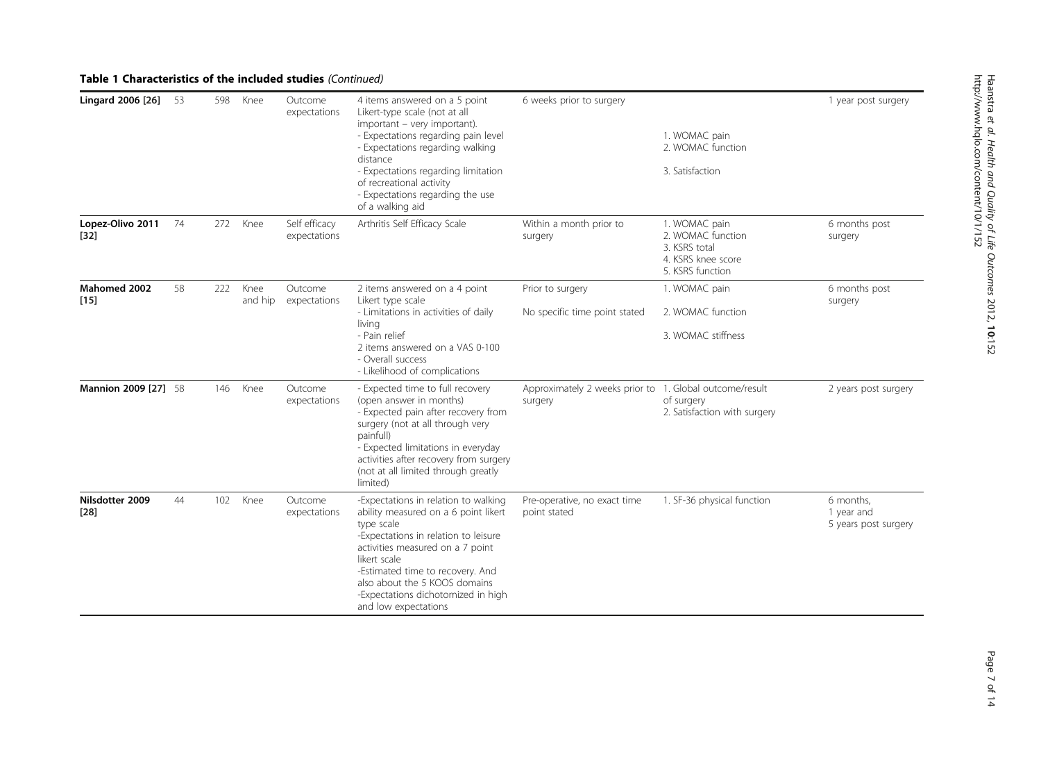## Table 1 Characteristics of the included studies (Continued)

| Lingard 2006 [26]          | 53 | 598 | Knee            | Outcome                       | 4 items answered on a 5 point                                                                                                                                                                                                                                                                                             | 6 weeks prior to surgery                                           |                                                                                               | 1 year post surgery                             |
|----------------------------|----|-----|-----------------|-------------------------------|---------------------------------------------------------------------------------------------------------------------------------------------------------------------------------------------------------------------------------------------------------------------------------------------------------------------------|--------------------------------------------------------------------|-----------------------------------------------------------------------------------------------|-------------------------------------------------|
|                            |    |     |                 | expectations                  | Likert-type scale (not at all<br>important - very important).<br>- Expectations regarding pain level<br>- Expectations regarding walking<br>distance                                                                                                                                                                      |                                                                    | 1. WOMAC pain<br>2. WOMAC function                                                            |                                                 |
|                            |    |     |                 |                               | - Expectations regarding limitation<br>of recreational activity<br>- Expectations regarding the use<br>of a walking aid                                                                                                                                                                                                   |                                                                    | 3. Satisfaction                                                                               |                                                 |
| Lopez-Olivo 2011<br>$[32]$ | 74 | 272 | Knee            | Self efficacy<br>expectations | Arthritis Self Efficacy Scale                                                                                                                                                                                                                                                                                             | Within a month prior to<br>surgery                                 | 1. WOMAC pain<br>2. WOMAC function<br>3. KSRS total<br>4. KSRS knee score<br>5. KSRS function | 6 months post<br>surgery                        |
| Mahomed 2002<br>[15]       | 58 | 222 | Knee<br>and hip | Outcome<br>expectations       | 2 items answered on a 4 point<br>Likert type scale                                                                                                                                                                                                                                                                        | Prior to surgery                                                   | 1. WOMAC pain                                                                                 | 6 months post<br>surgery                        |
|                            |    |     |                 |                               | - Limitations in activities of daily<br>living                                                                                                                                                                                                                                                                            | No specific time point stated                                      | 2. WOMAC function                                                                             |                                                 |
|                            |    |     |                 |                               | - Pain relief<br>2 items answered on a VAS 0-100<br>- Overall success<br>- Likelihood of complications                                                                                                                                                                                                                    |                                                                    | 3. WOMAC stiffness                                                                            |                                                 |
| Mannion 2009 [27] 58       |    | 146 | Knee            | Outcome<br>expectations       | - Expected time to full recovery<br>(open answer in months)<br>- Expected pain after recovery from<br>surgery (not at all through very<br>painfull)<br>- Expected limitations in everyday<br>activities after recovery from surgery<br>(not at all limited through greatly<br>limited)                                    | Approximately 2 weeks prior to 1. Global outcome/result<br>surgery | of surgery<br>2. Satisfaction with surgery                                                    | 2 years post surgery                            |
| Nilsdotter 2009<br>$[28]$  | 44 | 102 | Knee            | Outcome<br>expectations       | -Expectations in relation to walking<br>ability measured on a 6 point likert<br>type scale<br>-Expectations in relation to leisure<br>activities measured on a 7 point<br>likert scale<br>-Estimated time to recovery. And<br>also about the 5 KOOS domains<br>-Expectations dichotomized in high<br>and low expectations | Pre-operative, no exact time<br>point stated                       | 1. SF-36 physical function                                                                    | 6 months,<br>1 year and<br>5 years post surgery |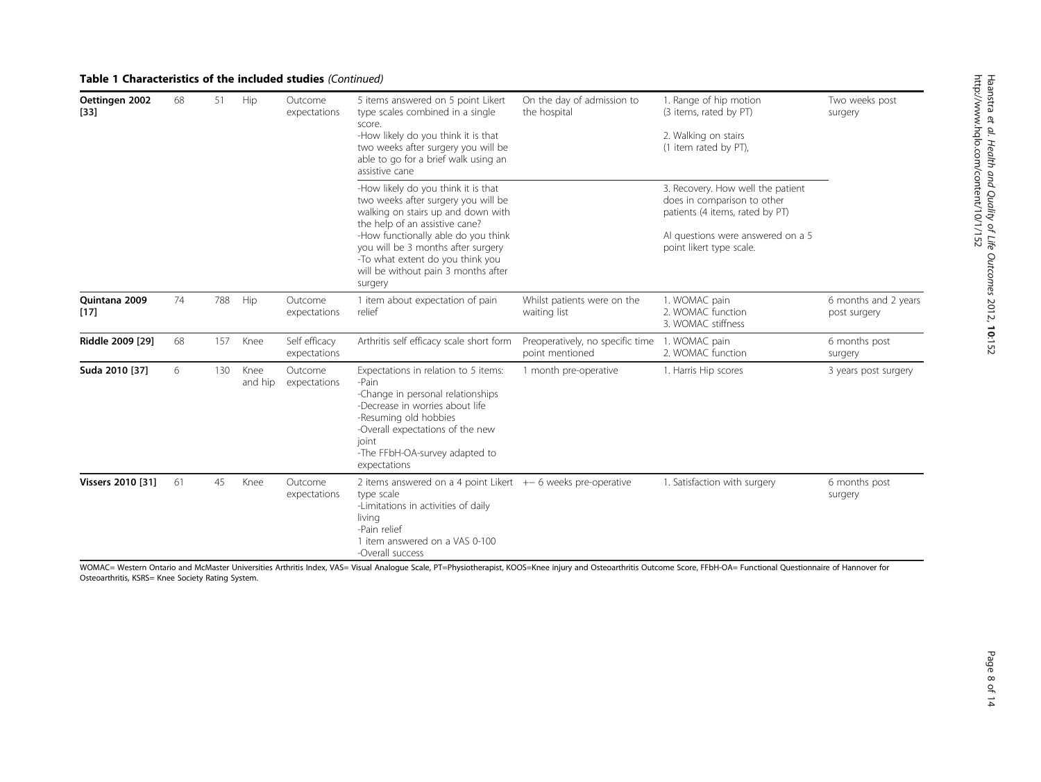## Table 1 Characteristics of the included studies (Continued)

| Oettingen 2002<br>$[33]$       | 68 | 51  | Hip             | Outcome<br>expectations       | 5 items answered on 5 point Likert<br>type scales combined in a single<br>score.<br>-How likely do you think it is that<br>two weeks after surgery you will be<br>able to go for a brief walk using an<br>assistive cane                                                                                              | On the day of admission to<br>the hospital          | 1. Range of hip motion<br>(3 items, rated by PT)<br>2. Walking on stairs<br>(1 item rated by PT),                                                                    | Two weeks post<br>surgery            |
|--------------------------------|----|-----|-----------------|-------------------------------|-----------------------------------------------------------------------------------------------------------------------------------------------------------------------------------------------------------------------------------------------------------------------------------------------------------------------|-----------------------------------------------------|----------------------------------------------------------------------------------------------------------------------------------------------------------------------|--------------------------------------|
|                                |    |     |                 |                               | -How likely do you think it is that<br>two weeks after surgery you will be<br>walking on stairs up and down with<br>the help of an assistive cane?<br>-How functionally able do you think<br>you will be 3 months after surgery<br>-To what extent do you think you<br>will be without pain 3 months after<br>surgery |                                                     | 3. Recovery. How well the patient<br>does in comparison to other<br>patients (4 items, rated by PT)<br>Al questions were answered on a 5<br>point likert type scale. |                                      |
| <b>Ouintana 2009</b><br>$[17]$ | 74 | 788 | Hip             | Outcome<br>expectations       | 1 item about expectation of pain<br>relief                                                                                                                                                                                                                                                                            | Whilst patients were on the<br>waiting list         | 1. WOMAC pain<br>2. WOMAC function<br>3. WOMAC stiffness                                                                                                             | 6 months and 2 years<br>post surgery |
| Riddle 2009 [29]               | 68 | 157 | Knee            | Self efficacy<br>expectations | Arthritis self efficacy scale short form                                                                                                                                                                                                                                                                              | Preoperatively, no specific time<br>point mentioned | 1. WOMAC pain<br>2. WOMAC function                                                                                                                                   | 6 months post<br>surgery             |
| Suda 2010 [37]                 | 6  | 130 | Knee<br>and hip | Outcome<br>expectations       | Expectations in relation to 5 items:<br>-Pain<br>-Change in personal relationships<br>-Decrease in worries about life<br>-Resuming old hobbies<br>-Overall expectations of the new<br>joint<br>-The FFbH-OA-survey adapted to<br>expectations                                                                         | 1 month pre-operative                               | 1. Harris Hip scores                                                                                                                                                 | 3 years post surgery                 |
| <b>Vissers 2010 [31]</b>       | 61 | 45  | Knee            | Outcome<br>expectations       | 2 items answered on a 4 point Likert $+-6$ weeks pre-operative<br>type scale<br>-Limitations in activities of daily<br>living<br>-Pain relief<br>1 item answered on a VAS 0-100<br>-Overall success                                                                                                                   |                                                     | 1. Satisfaction with surgery                                                                                                                                         | 6 months post<br>surgery             |

WOMAC= Western Ontario and McMaster Universities Arthritis Index, VAS= Visual Analogue Scale, PT=Physiotherapist, KOOS=Knee injury and Osteoarthritis Outcome Score, FFbH-OA= Functional Questionnaire of Hannover for Osteoarthritis, KSRS= Knee Society Rating System.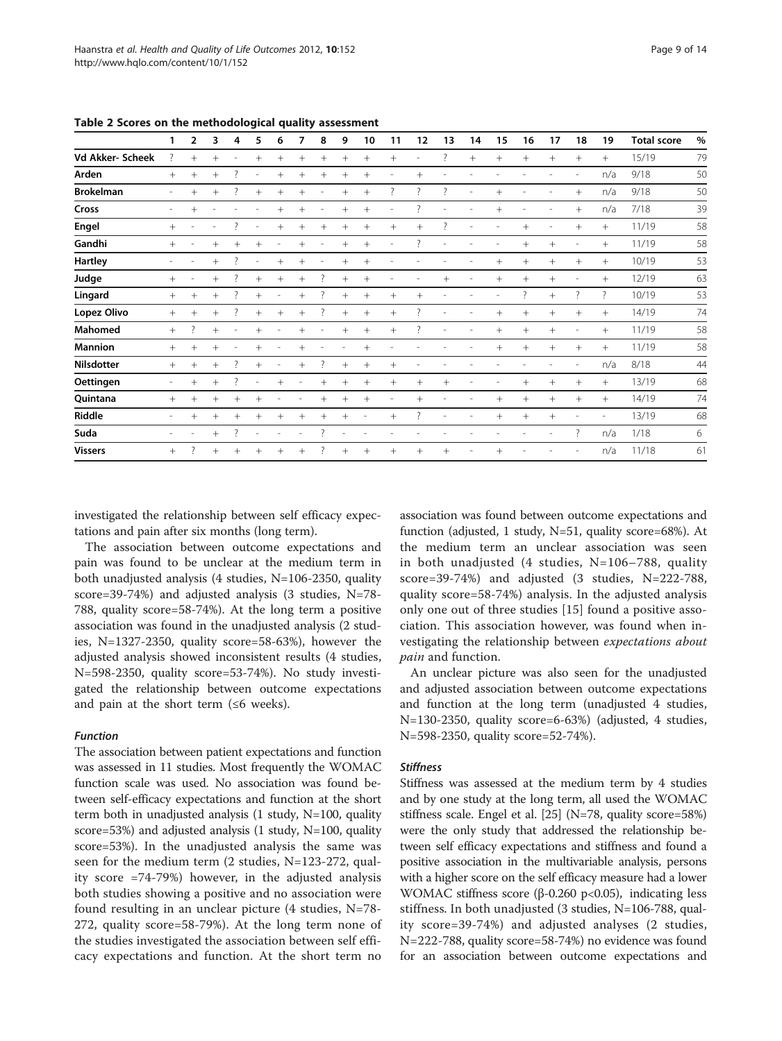|                  | 1                        | 2      | 3      | 4                        | 5                        | 6                        | 7              | 8                        | 9              | 10                       | 11                       | 12                       | 13     | 14                       | 15                       | 16                       | 17             | 18                       | 19                       | <b>Total score</b> | $\%$ |
|------------------|--------------------------|--------|--------|--------------------------|--------------------------|--------------------------|----------------|--------------------------|----------------|--------------------------|--------------------------|--------------------------|--------|--------------------------|--------------------------|--------------------------|----------------|--------------------------|--------------------------|--------------------|------|
| Vd Akker- Scheek |                          | $^{+}$ | $^{+}$ |                          | $^{+}$                   | $^{+}$                   | $^{+}$         | $^{+}$                   | $^{+}$         | $+$                      | $^{+}$                   |                          | 7      | $+$                      | $+$                      | $^{+}$                   | $^{+}$         | $^{+}$                   | $^{+}$                   | 15/19              | 79   |
| Arden            | $^{+}$                   | $^{+}$ | $^{+}$ |                          |                          | $^{+}$                   | $^{+}$         | $^{+}$                   | $^{+}$         | $+$                      | ٠                        | $^{+}$                   |        |                          |                          |                          |                | ٠                        | n/a                      | 9/18               | 50   |
| <b>Brokelman</b> | ٠                        | $+$    | $^{+}$ | 7                        | $+$                      | $^{+}$                   | $^{+}$         | ٠                        | $+$            | $+$                      | $\overline{\phantom{a}}$ | $\overline{\phantom{a}}$ | 7      | $\overline{\phantom{a}}$ | $^{+}$                   |                          |                | $+$                      | n/a                      | 9/18               | 50   |
| Cross            | $\overline{\phantom{a}}$ | $^{+}$ |        |                          |                          | $^{+}$                   | $^{+}$         | ٠                        | $+$            | $+$                      | $\overline{a}$           | $\overline{\phantom{0}}$ | ۰      | $\overline{a}$           | $^{+}$                   | $\overline{\phantom{a}}$ | $\overline{a}$ | $^{+}$                   | n/a                      | 7/18<br>39         |      |
| Engel            | $+$                      |        |        | $\overline{\phantom{a}}$ | $\overline{\phantom{a}}$ | $+$                      | $^{+}$         | $^{+}$                   | $+$            | $+$                      | $+$                      | $+$                      | ?      | ٠                        |                          | $+$                      | ٠              | $^{+}$                   | $+$                      | 11/19<br>58        |      |
| Gandhi           | $^{+}$                   |        | $^{+}$ | $^{+}$                   | $^{+}$                   |                          | $^{+}$         | ÷                        | $+$            | $+$                      | $\overline{a}$           | ?                        | ٠      |                          |                          | $+$                      | $+$            |                          | $+$                      | 11/19              | 58   |
| Hartley          | $\overline{\phantom{a}}$ |        | $^{+}$ |                          | $\overline{\phantom{a}}$ | $^{+}$                   | $^{+}$         | $\overline{\phantom{a}}$ | $^{+}$         | $^{+}$                   | $\overline{\phantom{a}}$ |                          |        |                          | $^{+}$                   | $^{+}$                   | $^{+}$         | $^{+}$                   | $^{+}$                   | 53<br>10/19        |      |
| Judge            | $+$                      |        | $^{+}$ |                          | $+$                      | $+$                      | $+$            | 7                        | $+$            | $+$                      | $\overline{\phantom{a}}$ |                          | $+$    | $\overline{a}$           | $+$                      | $+$                      | $+$            | $\overline{\phantom{a}}$ | $+$                      | 12/19              | 63   |
| Lingard          | $+$                      | $^{+}$ | $^{+}$ |                          | $+$                      | $\overline{\phantom{a}}$ | $^{+}$         | 7                        | $+$            | $+$                      | $^{+}$                   | $^{+}$                   |        |                          | $\overline{\phantom{a}}$ | 7                        | $+$            | $\overline{\phantom{a}}$ | 7                        | 10/19              | 53   |
| Lopez Olivo      | $+$                      | $+$    | $^{+}$ | $\overline{\phantom{a}}$ | $^{+}$                   | $^{+}$                   | $^{+}$         | 7                        | $+$            | $+$                      | $^{+}$                   |                          |        |                          | $+$                      | $+$                      | $+$            | $+$                      | $^{+}$                   | 14/19              | 74   |
| Mahomed          | $+$                      | 7      | $^{+}$ |                          | $^{+}$                   |                          | $^{+}$         | ٠                        | $+$            | $+$                      | $^{+}$                   |                          |        |                          | $+$                      | $+$                      | $+$            | $\overline{\phantom{a}}$ | $+$                      | 11/19              | 58   |
| <b>Mannion</b>   | $+$                      | $^{+}$ | $^{+}$ |                          | $^{+}$                   |                          | $^{+}$         |                          |                | $+$                      |                          |                          |        |                          | $^{+}$                   | $+$                      | $+$            | $^{+}$                   | $^{+}$                   | 11/19              | 58   |
| Nilsdotter       | $+$                      | $^{+}$ | $^{+}$ | $\overline{\phantom{a}}$ | $^{+}$                   |                          | $^{+}$         | $\overline{\phantom{a}}$ | $^{+}$         | $+$                      | $^{+}$                   |                          |        |                          |                          |                          |                | $\overline{\phantom{a}}$ | n/a                      | 8/18               | 44   |
| Oettingen        | $\overline{\phantom{a}}$ | $+$    | $^{+}$ | $\overline{\phantom{a}}$ |                          | $^{+}$                   |                | $^{+}$                   | $^{+}$         | $+$                      | $^{+}$                   | $^{+}$                   | $+$    |                          |                          | $+$                      | $^{+}$         | $^{+}$                   | $+$                      | 13/19              | 68   |
| Quintana         | $^{+}$                   | $^{+}$ | $^{+}$ | $^{+}$                   | $^{+}$                   |                          |                | $^{+}$                   | $+$            | $+$                      | $\overline{a}$           | $^{+}$                   |        |                          | $^{+}$                   | $^{+}$                   | $+$            | $+$                      | $^{+}$                   | 14/19              | 74   |
| Riddle           | ٠                        | $^{+}$ | $^{+}$ | $^{+}$                   | $^{+}$                   | $^{+}$                   | $+$            | $^{+}$                   | $^{+}$         | $\overline{\phantom{a}}$ | $^{+}$                   | 7                        | ۰      |                          | $^{+}$                   | $^{+}$                   | $+$            | $\overline{a}$           | $\overline{\phantom{a}}$ | 13/19              | 68   |
| Suda             |                          |        | $+$    | $\overline{\phantom{a}}$ |                          |                          |                | 7                        | $\overline{a}$ |                          |                          |                          |        |                          |                          |                          |                | ?                        | n/a                      | 1/18               | 6    |
| <b>Vissers</b>   | $^{+}$                   | 7      | $^{+}$ |                          |                          |                          | $\overline{+}$ | 7                        | $^{+}$         | $^{+}$                   | $^{+}$                   | $^{+}$                   | $^{+}$ |                          | $^{+}$                   |                          |                |                          | n/a                      | 11/18              | 61   |
|                  |                          |        |        |                          |                          |                          |                |                          |                |                          |                          |                          |        |                          |                          |                          |                |                          |                          |                    |      |

<span id="page-8-0"></span>Table 2 Scores on the methodological quality assessment

investigated the relationship between self efficacy expectations and pain after six months (long term).

The association between outcome expectations and pain was found to be unclear at the medium term in both unadjusted analysis (4 studies, N=106-2350, quality score=39-74%) and adjusted analysis (3 studies, N=78- 788, quality score=58-74%). At the long term a positive association was found in the unadjusted analysis (2 studies, N=1327-2350, quality score=58-63%), however the adjusted analysis showed inconsistent results (4 studies, N=598-2350, quality score=53-74%). No study investigated the relationship between outcome expectations and pain at the short term  $(\leq 6$  weeks).

## Function

The association between patient expectations and function was assessed in 11 studies. Most frequently the WOMAC function scale was used. No association was found between self-efficacy expectations and function at the short term both in unadjusted analysis (1 study, N=100, quality score=53%) and adjusted analysis (1 study, N=100, quality score=53%). In the unadjusted analysis the same was seen for the medium term (2 studies, N=123-272, quality score =74-79%) however, in the adjusted analysis both studies showing a positive and no association were found resulting in an unclear picture (4 studies, N=78- 272, quality score=58-79%). At the long term none of the studies investigated the association between self efficacy expectations and function. At the short term no

association was found between outcome expectations and function (adjusted, 1 study, N=51, quality score=68%). At the medium term an unclear association was seen in both unadjusted (4 studies, N=106–788, quality score=39-74%) and adjusted (3 studies, N=222-788, quality score=58-74%) analysis. In the adjusted analysis only one out of three studies [\[15](#page-13-0)] found a positive association. This association however, was found when investigating the relationship between expectations about pain and function.

An unclear picture was also seen for the unadjusted and adjusted association between outcome expectations and function at the long term (unadjusted 4 studies, N=130-2350, quality score=6-63%) (adjusted, 4 studies, N=598-2350, quality score=52-74%).

#### **Stiffness**

Stiffness was assessed at the medium term by 4 studies and by one study at the long term, all used the WOMAC stiffness scale. Engel et al. [\[25\]](#page-13-0) (N=78, quality score=58%) were the only study that addressed the relationship between self efficacy expectations and stiffness and found a positive association in the multivariable analysis, persons with a higher score on the self efficacy measure had a lower WOMAC stiffness score (β-0.260 p<0.05), indicating less stiffness. In both unadjusted (3 studies, N=106-788, quality score=39-74%) and adjusted analyses (2 studies, N=222-788, quality score=58-74%) no evidence was found for an association between outcome expectations and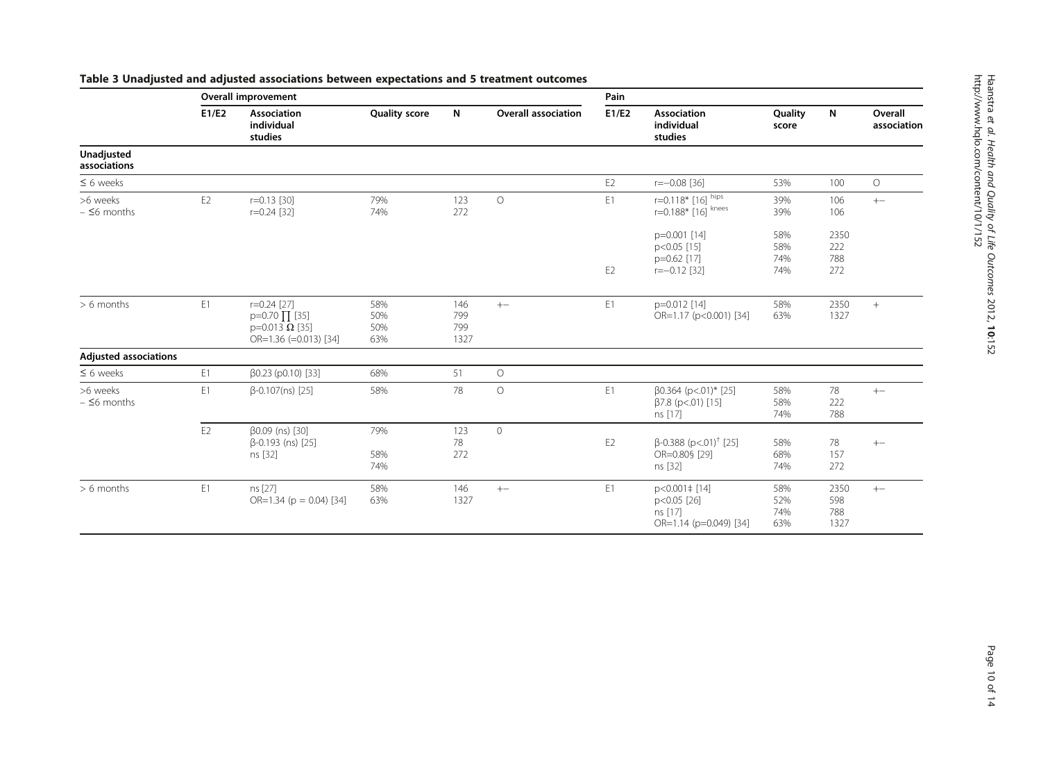| systempt/10/1/1702 |                                                                   |
|--------------------|-------------------------------------------------------------------|
|                    |                                                                   |
|                    |                                                                   |
|                    |                                                                   |
|                    |                                                                   |
|                    |                                                                   |
|                    | Haanstra et al. Health and Quality of Life Outconnes 2012, 10:152 |
|                    |                                                                   |
|                    |                                                                   |

|                              |                | <b>Overall improvement</b>                                                       |                          |                           |                            | Pain           |                                                                     |                          |                            |                        |
|------------------------------|----------------|----------------------------------------------------------------------------------|--------------------------|---------------------------|----------------------------|----------------|---------------------------------------------------------------------|--------------------------|----------------------------|------------------------|
|                              | E1/E2          | <b>Association</b><br>individual<br>studies                                      | <b>Quality score</b>     | N                         | <b>Overall association</b> | E1/E2          | <b>Association</b><br>individual<br>studies                         | Quality<br>score         | N                          | Overall<br>association |
| Unadjusted<br>associations   |                |                                                                                  |                          |                           |                            |                |                                                                     |                          |                            |                        |
| $\leq 6$ weeks               |                |                                                                                  |                          |                           |                            | E <sub>2</sub> | $r=-0.08$ [36]                                                      | 53%                      | 100                        | $\bigcirc$             |
| >6 weeks<br>$-56$ months     | E <sub>2</sub> | $r=0.13$ [30]<br>$r=0.24$ [32]                                                   | 79%<br>74%               | 123<br>272                | $\circ$                    | E1             | $r = 0.118*$ [16] $^{hips}$<br>$r = 0.188*$ [16] knees              | 39%<br>39%               | 106<br>106                 | $+-$                   |
|                              |                |                                                                                  |                          |                           |                            | E <sub>2</sub> | p=0.001 [14]<br>p<0.05 [15]<br>p=0.62 [17]<br>$r=-0.12$ [32]        | 58%<br>58%<br>74%<br>74% | 2350<br>222<br>788<br>272  |                        |
| $> 6$ months                 | E <sub>1</sub> | $r=0.24$ [27]<br>p=0.70 ∏ [35]<br>$p=0.013 \Omega$ [35]<br>OR=1.36 (=0.013) [34] | 58%<br>50%<br>50%<br>63% | 146<br>799<br>799<br>1327 | $+-$                       | E1             | p=0.012 [14]<br>OR=1.17 (p<0.001) [34]                              | 58%<br>63%               | 2350<br>1327               | $\! +$                 |
| Adjusted associations        |                |                                                                                  |                          |                           |                            |                |                                                                     |                          |                            |                        |
| $\leq 6$ weeks               | E1             | $\beta$ 0.23 (p0.10) [33]                                                        | 68%                      | 51                        | $\circ$                    |                |                                                                     |                          |                            |                        |
| >6 weeks<br>$ \leq$ 6 months | E1             | $\beta$ -0.107(ns) [25]                                                          | 58%                      | 78                        | $\bigcirc$                 | E1             | $\beta$ 0.364 (p<.01)* [25]<br>$\beta$ 7.8 (p <.01) [15]<br>ns [17] | 58%<br>58%<br>74%        | 78<br>222<br>788           | $+ -$                  |
|                              | E2             | β0.09 (ns) [30]<br>$\beta$ -0.193 (ns) [25]<br>ns [32]                           | 79%<br>58%<br>74%        | 123<br>78<br>272          | $\Omega$                   | E <sub>2</sub> | $β-0.388 (p<.01)$ <sup>†</sup> [25]<br>OR=0.80§ [29]<br>ns [32]     | 58%<br>68%<br>74%        | 78<br>157<br>272           | $+-$                   |
| > 6 months                   | E1             | ns [27]<br>$OR=1.34$ (p = 0.04) [34]                                             | 58%<br>63%               | 146<br>1327               | $+-$                       | E1             | p<0.001‡ [14]<br>p<0.05 [26]<br>ns [17]<br>OR=1.14 (p=0.049) [34]   | 58%<br>52%<br>74%<br>63% | 2350<br>598<br>788<br>1327 | $+-$                   |

## <span id="page-9-0"></span>Table 3 Unadjusted and adjusted associations between expectations and 5 treatment outcomes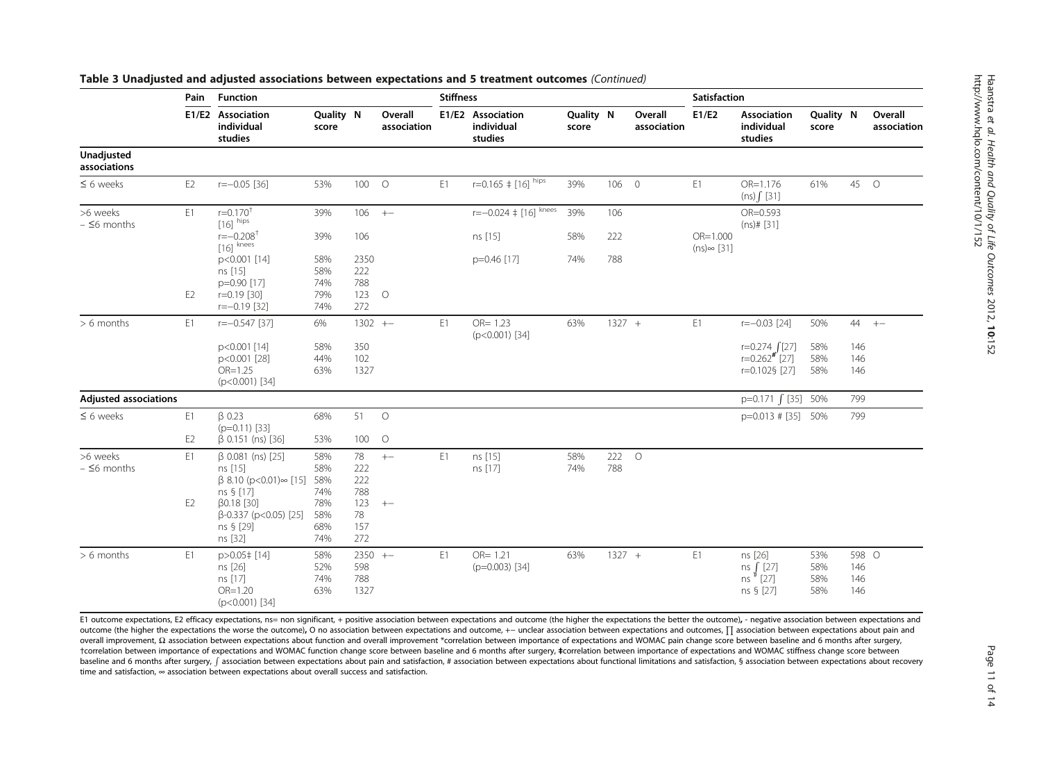|                              | Pain           | <b>Function</b>                            |                    |            |                        | <b>Stiffness</b> |                                            |                    |          |                        | Satisfaction                      |                                                  |                    |          |                        |
|------------------------------|----------------|--------------------------------------------|--------------------|------------|------------------------|------------------|--------------------------------------------|--------------------|----------|------------------------|-----------------------------------|--------------------------------------------------|--------------------|----------|------------------------|
|                              |                | E1/E2 Association<br>individual<br>studies | Quality N<br>score |            | Overall<br>association |                  | E1/E2 Association<br>individual<br>studies | Quality N<br>score |          | Overall<br>association | E1/E2                             | Association<br>individual<br>studies             | Quality N<br>score |          | Overall<br>association |
| Unadjusted<br>associations   |                |                                            |                    |            |                        |                  |                                            |                    |          |                        |                                   |                                                  |                    |          |                        |
| $\leq$ 6 weeks               | E <sub>2</sub> | $r=-0.05$ [36]                             | 53%                | 100 O      |                        | E1               | $r = 0.165 \pm [16]$ hips                  | 39%                | 1060     |                        | E1                                | $OR = 1.176$<br>(ns) $\int$ [31]                 | 61%                | 45       | $\circ$                |
| >6 weeks<br>$-56$ months     | E1             | $r = 0.170^{+}$<br>$[16]$ hips             | 39%                | $106 + -$  |                        |                  | $r=-0.024 \pm [16]$ knees                  | 39%                | 106      |                        |                                   | $OR = 0.593$<br>$(ns)$ # [31]                    |                    |          |                        |
|                              |                | $r=-0.208$ <sup>+</sup><br>$[16]$ knees    | 39%                | 106        |                        |                  | ns [15]                                    | 58%                | 222      |                        | $OR = 1.000$<br>$(ns)$ $\in$ [31] |                                                  |                    |          |                        |
|                              |                | p<0.001 [14]                               | 58%                | 2350       |                        |                  | $p=0.46$ [17]                              | 74%                | 788      |                        |                                   |                                                  |                    |          |                        |
|                              |                | ns [15]                                    | 58%                | 222        |                        |                  |                                            |                    |          |                        |                                   |                                                  |                    |          |                        |
|                              |                | p=0.90 [17]                                | 74%                | 788        |                        |                  |                                            |                    |          |                        |                                   |                                                  |                    |          |                        |
|                              | E <sub>2</sub> | r=0.19 [30]<br>$r=-0.19$ [32]              | 79%<br>74%         | 123<br>272 | $\circ$                |                  |                                            |                    |          |                        |                                   |                                                  |                    |          |                        |
|                              |                |                                            |                    |            |                        |                  |                                            |                    |          |                        |                                   |                                                  |                    |          |                        |
| > 6 months                   | E1             | $r=-0.547$ [37]                            | 6%                 | $1302 + -$ |                        | E1               | $OR = 1.23$<br>$(p<0.001)$ [34]            | 63%                | $1327 +$ |                        | E1                                | $r=-0.03$ [24]                                   | 50%                | $44 + -$ |                        |
|                              |                | p<0.001 [14]                               | 58%                | 350        |                        |                  |                                            |                    |          |                        |                                   | $r=0.274$ $\int [27]$                            | 58%                | 146      |                        |
|                              |                | p<0.001 [28]                               | 44%                | 102        |                        |                  |                                            |                    |          |                        |                                   | $r = 0.262$ <sup>#<math>\sigma</math></sup> [27] | 58%                | 146      |                        |
|                              |                | $OR = 1.25$<br>$(p<0.001)$ [34]            | 63%                | 1327       |                        |                  |                                            |                    |          |                        |                                   | r=0.102§ [27]                                    | 58%                | 146      |                        |
| <b>Adjusted associations</b> |                |                                            |                    |            |                        |                  |                                            |                    |          |                        |                                   | p=0.171 f [35] 50%                               |                    | 799      |                        |
| $\leq 6$ weeks               | E1             | $\beta$ 0.23<br>$(p=0.11)$ [33]            | 68%                | 51         | $\circ$                |                  |                                            |                    |          |                        |                                   | $p=0.013$ # [35] 50%                             |                    | 799      |                        |
|                              | E <sub>2</sub> | $\beta$ 0.151 (ns) [36]                    | 53%                | 100        | $\circ$                |                  |                                            |                    |          |                        |                                   |                                                  |                    |          |                        |
| >6 weeks                     | E1             | $\beta$ 0.081 (ns) [25]                    | 58%                | 78         | $+ -$                  | E1               | ns [15]                                    | 58%                | 222      | $\circ$                |                                   |                                                  |                    |          |                        |
| $-56$ months                 |                | ns [15]                                    | 58%                | 222        |                        |                  | ns [17]                                    | 74%                | 788      |                        |                                   |                                                  |                    |          |                        |
|                              |                | $\beta$ 8.10 (p<0.01) $\in$ [15]           | 58%                | 222        |                        |                  |                                            |                    |          |                        |                                   |                                                  |                    |          |                        |
|                              |                | ns § [17]                                  | 74%                | 788        |                        |                  |                                            |                    |          |                        |                                   |                                                  |                    |          |                        |
|                              | E <sub>2</sub> | <b>β0.18 [30]</b>                          | 78%                | 123        | $+-$                   |                  |                                            |                    |          |                        |                                   |                                                  |                    |          |                        |
|                              |                | $\beta$ -0.337 (p<0.05) [25]               | 58%                | 78         |                        |                  |                                            |                    |          |                        |                                   |                                                  |                    |          |                        |
|                              |                | ns § [29]                                  | 68%                | 157        |                        |                  |                                            |                    |          |                        |                                   |                                                  |                    |          |                        |
|                              |                | ns [32]                                    | 74%                | 272        |                        |                  |                                            |                    |          |                        |                                   |                                                  |                    |          |                        |
| > 6 months                   | E1             | p>0.05‡ [14]                               | 58%                | $2350 + -$ |                        | E1               | $OR = 1.21$                                | 63%                | $1327 +$ |                        | E1                                | ns [26]                                          | 53%                | 598 O    |                        |
|                              |                | ns [26]                                    | 52%                | 598        |                        |                  | $(p=0.003)$ [34]                           |                    |          |                        |                                   | ns $\int$ [27]                                   | 58%                | 146      |                        |
|                              |                | ns [17]                                    | 74%                | 788        |                        |                  |                                            |                    |          |                        |                                   | ns # [27]                                        | 58%                | 146      |                        |
|                              |                | $OR = 1.20$                                | 63%                | 1327       |                        |                  |                                            |                    |          |                        |                                   | ns § [27]                                        | 58%                | 146      |                        |
|                              |                | $(p<0.001)$ [34]                           |                    |            |                        |                  |                                            |                    |          |                        |                                   |                                                  |                    |          |                        |

Table 3 Unadjusted and adjusted associations between expectations and 5 treatment outcomes (Continued)

E1 outcome expectations, E2 efficacy expectations, ns= non significant, + positive association between expectations and outcome (the higher the expectations the better the outcome), - negative association between expectati outcome (the higher the expectations the worse the outcome), O no association between expectations and outcome, +− unclear association between expectations and outcomes, Q association between expectations about pain and overall improvement, Ω association between expectations about function and overall improvement \*correlation between importance of expectations and WOMAC pain change score between baseline and 6 months after surgery, †correlation between importance of expectations and WOMAC function change score between baseline and 6 months after surgery, ‡correlation between importance of expectations and WOMAC stiffness change score between baseline and 6 months after surgery, I association between expectations about pain and satisfaction, # association between expectations about functional limitations and satisfaction, § association between expectations abou time and satisfaction, ∞ association between expectations about overall success and satisfaction.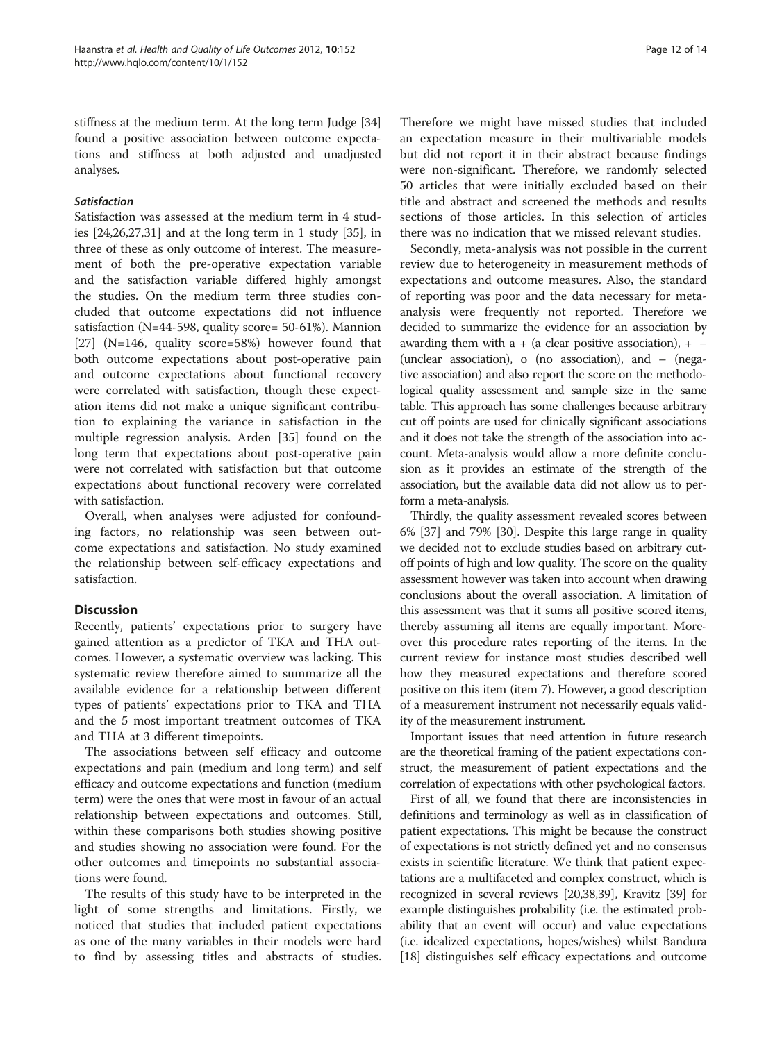stiffness at the medium term. At the long term Judge [[34](#page-13-0)] found a positive association between outcome expectations and stiffness at both adjusted and unadjusted analyses.

## **Satisfaction**

Satisfaction was assessed at the medium term in 4 studies [[24,26,27,31\]](#page-13-0) and at the long term in 1 study [\[35\]](#page-13-0), in three of these as only outcome of interest. The measurement of both the pre-operative expectation variable and the satisfaction variable differed highly amongst the studies. On the medium term three studies concluded that outcome expectations did not influence satisfaction (N=44-598, quality score= 50-61%). Mannion [[27\]](#page-13-0) (N=146, quality score=58%) however found that both outcome expectations about post-operative pain and outcome expectations about functional recovery were correlated with satisfaction, though these expectation items did not make a unique significant contribution to explaining the variance in satisfaction in the multiple regression analysis. Arden [[35\]](#page-13-0) found on the long term that expectations about post-operative pain were not correlated with satisfaction but that outcome expectations about functional recovery were correlated with satisfaction.

Overall, when analyses were adjusted for confounding factors, no relationship was seen between outcome expectations and satisfaction. No study examined the relationship between self-efficacy expectations and satisfaction.

## **Discussion**

Recently, patients' expectations prior to surgery have gained attention as a predictor of TKA and THA outcomes. However, a systematic overview was lacking. This systematic review therefore aimed to summarize all the available evidence for a relationship between different types of patients' expectations prior to TKA and THA and the 5 most important treatment outcomes of TKA and THA at 3 different timepoints.

The associations between self efficacy and outcome expectations and pain (medium and long term) and self efficacy and outcome expectations and function (medium term) were the ones that were most in favour of an actual relationship between expectations and outcomes. Still, within these comparisons both studies showing positive and studies showing no association were found. For the other outcomes and timepoints no substantial associations were found.

The results of this study have to be interpreted in the light of some strengths and limitations. Firstly, we noticed that studies that included patient expectations as one of the many variables in their models were hard to find by assessing titles and abstracts of studies.

Therefore we might have missed studies that included an expectation measure in their multivariable models but did not report it in their abstract because findings were non-significant. Therefore, we randomly selected 50 articles that were initially excluded based on their title and abstract and screened the methods and results sections of those articles. In this selection of articles there was no indication that we missed relevant studies.

Secondly, meta-analysis was not possible in the current review due to heterogeneity in measurement methods of expectations and outcome measures. Also, the standard of reporting was poor and the data necessary for metaanalysis were frequently not reported. Therefore we decided to summarize the evidence for an association by awarding them with a + (a clear positive association), +  $-$ (unclear association), o (no association), and – (negative association) and also report the score on the methodological quality assessment and sample size in the same table. This approach has some challenges because arbitrary cut off points are used for clinically significant associations and it does not take the strength of the association into account. Meta-analysis would allow a more definite conclusion as it provides an estimate of the strength of the association, but the available data did not allow us to perform a meta-analysis.

Thirdly, the quality assessment revealed scores between 6% [\[37\]](#page-13-0) and 79% [\[30\]](#page-13-0). Despite this large range in quality we decided not to exclude studies based on arbitrary cutoff points of high and low quality. The score on the quality assessment however was taken into account when drawing conclusions about the overall association. A limitation of this assessment was that it sums all positive scored items, thereby assuming all items are equally important. Moreover this procedure rates reporting of the items. In the current review for instance most studies described well how they measured expectations and therefore scored positive on this item (item 7). However, a good description of a measurement instrument not necessarily equals validity of the measurement instrument.

Important issues that need attention in future research are the theoretical framing of the patient expectations construct, the measurement of patient expectations and the correlation of expectations with other psychological factors.

First of all, we found that there are inconsistencies in definitions and terminology as well as in classification of patient expectations. This might be because the construct of expectations is not strictly defined yet and no consensus exists in scientific literature. We think that patient expectations are a multifaceted and complex construct, which is recognized in several reviews [\[20,38,39](#page-13-0)], Kravitz [\[39\]](#page-13-0) for example distinguishes probability (i.e. the estimated probability that an event will occur) and value expectations (i.e. idealized expectations, hopes/wishes) whilst Bandura [[18](#page-13-0)] distinguishes self efficacy expectations and outcome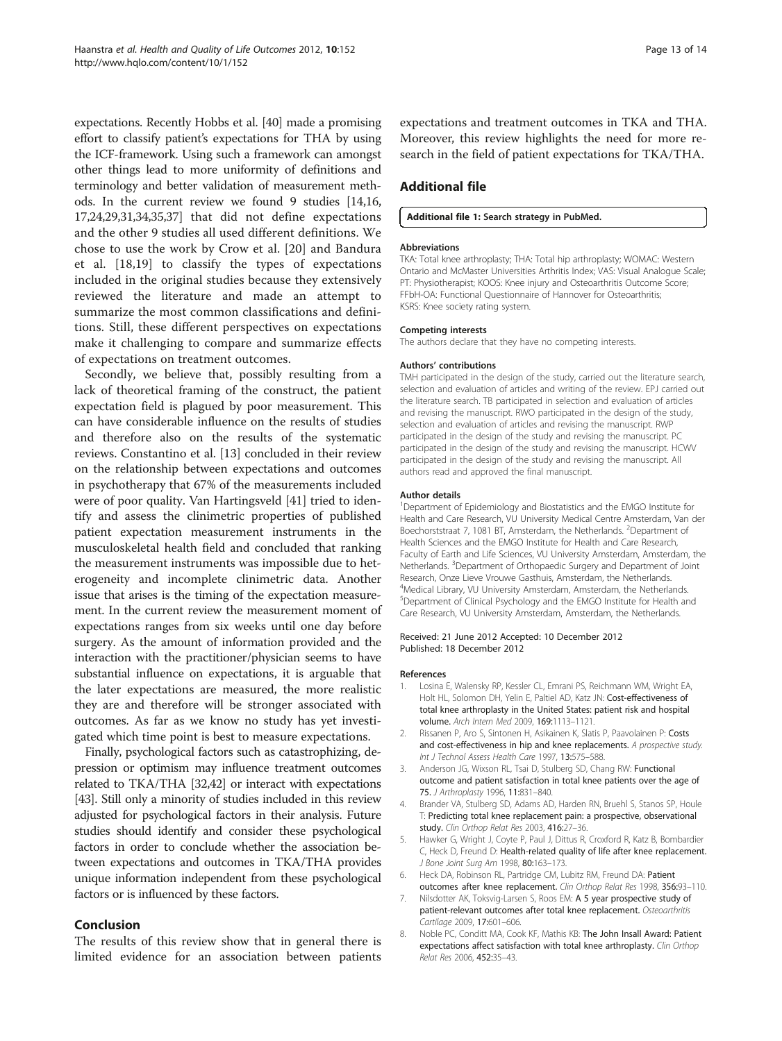<span id="page-12-0"></span>expectations. Recently Hobbs et al. [[40](#page-13-0)] made a promising effort to classify patient's expectations for THA by using the ICF-framework. Using such a framework can amongst other things lead to more uniformity of definitions and terminology and better validation of measurement methods. In the current review we found 9 studies [\[14,16](#page-13-0), [17,24,29,31,34,35,37](#page-13-0)] that did not define expectations and the other 9 studies all used different definitions. We chose to use the work by Crow et al. [[20](#page-13-0)] and Bandura et al. [[18,19](#page-13-0)] to classify the types of expectations included in the original studies because they extensively reviewed the literature and made an attempt to summarize the most common classifications and definitions. Still, these different perspectives on expectations make it challenging to compare and summarize effects of expectations on treatment outcomes.

Secondly, we believe that, possibly resulting from a lack of theoretical framing of the construct, the patient expectation field is plagued by poor measurement. This can have considerable influence on the results of studies and therefore also on the results of the systematic reviews. Constantino et al. [[13](#page-13-0)] concluded in their review on the relationship between expectations and outcomes in psychotherapy that 67% of the measurements included were of poor quality. Van Hartingsveld [[41\]](#page-13-0) tried to identify and assess the clinimetric properties of published patient expectation measurement instruments in the musculoskeletal health field and concluded that ranking the measurement instruments was impossible due to heterogeneity and incomplete clinimetric data. Another issue that arises is the timing of the expectation measurement. In the current review the measurement moment of expectations ranges from six weeks until one day before surgery. As the amount of information provided and the interaction with the practitioner/physician seems to have substantial influence on expectations, it is arguable that the later expectations are measured, the more realistic they are and therefore will be stronger associated with outcomes. As far as we know no study has yet investigated which time point is best to measure expectations.

Finally, psychological factors such as catastrophizing, depression or optimism may influence treatment outcomes related to TKA/THA [\[32,42](#page-13-0)] or interact with expectations [[43](#page-13-0)]. Still only a minority of studies included in this review adjusted for psychological factors in their analysis. Future studies should identify and consider these psychological factors in order to conclude whether the association between expectations and outcomes in TKA/THA provides unique information independent from these psychological factors or is influenced by these factors.

## Conclusion

The results of this review show that in general there is limited evidence for an association between patients expectations and treatment outcomes in TKA and THA. Moreover, this review highlights the need for more research in the field of patient expectations for TKA/THA.

## Additional file

## [Additional file 1:](http://www.biomedcentral.com/content/supplementary/1477-7525-10-152-S1.docx) Search strategy in PubMed.

#### Abbreviations

TKA: Total knee arthroplasty; THA: Total hip arthroplasty; WOMAC: Western Ontario and McMaster Universities Arthritis Index; VAS: Visual Analogue Scale; PT: Physiotherapist; KOOS: Knee injury and Osteoarthritis Outcome Score; FFbH-OA: Functional Questionnaire of Hannover for Osteoarthritis; KSRS: Knee society rating system.

#### Competing interests

The authors declare that they have no competing interests.

#### Authors' contributions

TMH participated in the design of the study, carried out the literature search, selection and evaluation of articles and writing of the review. EPJ carried out the literature search. TB participated in selection and evaluation of articles and revising the manuscript. RWO participated in the design of the study, selection and evaluation of articles and revising the manuscript. RWP participated in the design of the study and revising the manuscript. PC participated in the design of the study and revising the manuscript. HCWV participated in the design of the study and revising the manuscript. All authors read and approved the final manuscript.

#### Author details

<sup>1</sup>Department of Epidemiology and Biostatistics and the EMGO Institute for Health and Care Research, VU University Medical Centre Amsterdam, Van der Boechorststraat 7, 1081 BT, Amsterdam, the Netherlands. <sup>2</sup>Department of Health Sciences and the EMGO Institute for Health and Care Research, Faculty of Earth and Life Sciences, VU University Amsterdam, Amsterdam, the Netherlands.<sup>3</sup> Department of Orthopaedic Surgery and Department of Joint Research, Onze Lieve Vrouwe Gasthuis, Amsterdam, the Netherlands. 4 Medical Library, VU University Amsterdam, Amsterdam, the Netherlands. 5 Department of Clinical Psychology and the EMGO Institute for Health and Care Research, VU University Amsterdam, Amsterdam, the Netherlands.

#### Received: 21 June 2012 Accepted: 10 December 2012 Published: 18 December 2012

#### References

- 1. Losina E, Walensky RP, Kessler CL, Emrani PS, Reichmann WM, Wright EA, Holt HL, Solomon DH, Yelin E, Paltiel AD, Katz JN: Cost-effectiveness of total knee arthroplasty in the United States: patient risk and hospital volume. Arch Intern Med 2009, 169:1113–1121.
- 2. Rissanen P, Aro S, Sintonen H, Asikainen K, Slatis P, Paavolainen P: Costs and cost-effectiveness in hip and knee replacements. A prospective study. Int J Technol Assess Health Care 1997, 13:575–588.
- 3. Anderson JG, Wixson RL, Tsai D, Stulberg SD, Chang RW: Functional outcome and patient satisfaction in total knee patients over the age of 75. J Arthroplasty 1996, 11:831–840.
- 4. Brander VA, Stulberg SD, Adams AD, Harden RN, Bruehl S, Stanos SP, Houle T: Predicting total knee replacement pain: a prospective, observational study. Clin Orthop Relat Res 2003, 416:27–36.
- 5. Hawker G, Wright J, Coyte P, Paul J, Dittus R, Croxford R, Katz B, Bombardier C, Heck D, Freund D: Health-related quality of life after knee replacement. J Bone Joint Surg Am 1998, 80:163–173.
- 6. Heck DA, Robinson RL, Partridge CM, Lubitz RM, Freund DA: Patient outcomes after knee replacement. Clin Orthop Relat Res 1998, 356:93-110.
- 7. Nilsdotter AK, Toksvig-Larsen S, Roos EM: A 5 year prospective study of patient-relevant outcomes after total knee replacement. Osteoarthritis Cartilage 2009, 17:601–606.
- 8. Noble PC, Conditt MA, Cook KF, Mathis KB: The John Insall Award: Patient expectations affect satisfaction with total knee arthroplasty. Clin Orthop Relat Res 2006, 452:35–43.